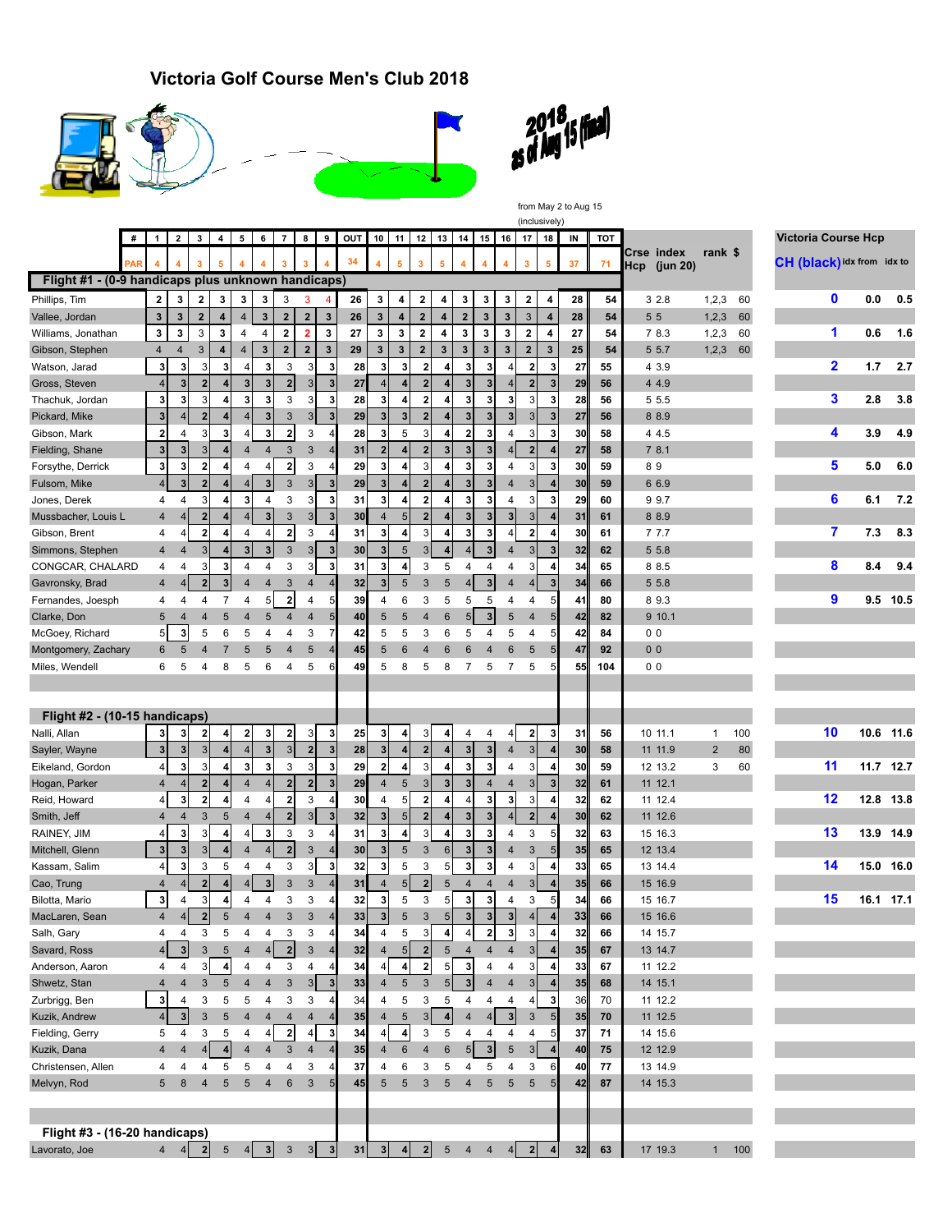## **Victoria Golf Course Men's Club 2018**







from May 2 to Aug 15 (inclusively)

|                                                    | # | 1                       | $\overline{\mathbf{2}}$ | 3                         | $\overline{4}$          | 5                       | 6                       | $\overline{7}$          | 8                       | 9                        | OUT | 10                      | 11                    | 12                      | 13                      | 14                      | 15                      | 16                      | 17                      | 18             | IN | TOT |                               |                |     | <b>Victoria Course Hcp</b> |     |           |
|----------------------------------------------------|---|-------------------------|-------------------------|---------------------------|-------------------------|-------------------------|-------------------------|-------------------------|-------------------------|--------------------------|-----|-------------------------|-----------------------|-------------------------|-------------------------|-------------------------|-------------------------|-------------------------|-------------------------|----------------|----|-----|-------------------------------|----------------|-----|----------------------------|-----|-----------|
|                                                    |   |                         |                         | 3                         | 5                       |                         |                         | 3                       | 3                       |                          | 34  | 4                       | 5                     | $\mathbf{3}$            | 5                       | 4                       | 4                       | 4                       | 3                       | 5              | 37 | 71  | Crse index<br>Нср<br>(jun 20) | rank \$        |     | CH (black) idx from idx to |     |           |
| Flight #1 - (0-9 handicaps plus unknown handicaps) |   |                         |                         |                           |                         |                         |                         |                         |                         |                          |     |                         |                       |                         |                         |                         |                         |                         |                         |                |    |     |                               |                |     |                            |     |           |
| Phillips, Tim                                      |   | $\mathbf{2}$            | 3                       | 2                         | 3                       | 3                       | 3                       | 3                       | 3                       |                          | 26  | 3                       | 4                     | 2                       | 4                       | 3                       | 3                       | 3                       | 2                       | 4              | 28 | 54  | 32.8                          | 1,2,3          | 60  | $\mathbf 0$                | 0.0 | 0.5       |
| Vallee, Jordan                                     |   | $\mathbf{3}$            | 3                       | $\overline{\mathbf{2}}$   | 4                       | $\overline{\mathbf{4}}$ | $\mathbf 3$             | $\mathbf{2}$            | $\mathbf{2}$            | $\mathbf{3}$             | 26  | 3                       | 4                     | $\overline{\mathbf{2}}$ | 4                       | $\mathbf 2$             | 3                       | 3                       | 3                       | $\overline{4}$ | 28 | 54  | 55                            | 1, 2, 3        | 60  |                            |     |           |
| Williams, Jonathan                                 |   | 3                       | 3                       | 3                         | 3                       | 4                       | 4                       | $\overline{\mathbf{2}}$ | $\overline{\mathbf{2}}$ | 3                        | 27  | 3                       | 3                     | $\overline{\mathbf{2}}$ | 4                       | 3                       | 3                       | 3                       | $\mathbf 2$             | 4              | 27 | 54  | 7 8.3                         | 1, 2, 3        | 60  | 1                          | 0.6 | 1.6       |
| Gibson, Stephen                                    |   | 4                       | $\overline{4}$          | $\ensuremath{\mathsf{3}}$ | 4                       | $\overline{4}$          | $\mathbf 3$             | $\mathbf 2$             | $\boldsymbol{2}$        | $\mathbf 3$              | 29  | 3                       | 3                     | $\mathbf 2$             | $\mathbf 3$             | $\mathbf{3}$            | $\overline{\mathbf{3}}$ | $\mathbf{3}$            | $\mathbf 2$             | 3              | 25 | 54  | 5 5.7                         | 1, 2, 3        | 60  |                            |     |           |
| Watson, Jarad                                      |   | 3                       | 3                       | 3                         | 3                       | 4                       | 3                       | 3                       | 3                       | 3                        | 28  | 3                       | 3                     | $\overline{\mathbf{2}}$ | 4                       | 3                       | 3                       | 4                       | $\overline{\mathbf{2}}$ | 3              | 27 | 55  | 4 3.9                         |                |     | $\mathbf{2}$               | 1.7 | 2.7       |
| Gross, Steven                                      |   | $\overline{4}$          | 3 <sup>1</sup>          | $\overline{2}$            | 4                       | 3                       | $\mathbf{3}$            | 2                       | 3                       | 3                        | 27  | $\overline{4}$          | $\overline{4}$        | $\overline{\mathbf{2}}$ |                         | 3                       | 3                       | $\overline{4}$          | $\overline{\mathbf{2}}$ |                | 29 | 56  | 4 4.9                         |                |     |                            |     |           |
| Thachuk, Jordan                                    |   | 3                       | $\mathbf{3}$            | 3                         | 4                       | 3                       | 3                       | 3                       | 3                       | 3                        | 28  | $\mathbf{3}$            | $\overline{4}$        | $\overline{\mathbf{2}}$ | 4                       | 3                       | 3                       | 3                       | $\mathbf{3}$            | 3              | 28 | 56  | 5 5.5                         |                |     | 3                          | 2.8 | 3.8       |
| Pickard, Mike                                      |   | $\mathbf{3}$            | 4                       | $\overline{\mathbf{2}}$   | 4                       |                         | 3                       | 3                       | $\sqrt{3}$              | $\mathbf 3$              | 29  | $\overline{\mathbf{3}}$ | 3                     | $\mathbf 2$             | 4 <sup>1</sup>          | 3                       | 3                       | 3                       | 3 <sup>1</sup>          |                | 27 | 56  | 8 8.9                         |                |     |                            |     |           |
| Gibson, Mark                                       |   | $\overline{\mathbf{2}}$ | 4                       | 3                         | 3                       |                         | 3                       | $\mathbf{2}$            | 3                       | 4                        | 28  | 3                       | 5                     | 3                       | $\overline{\mathbf{A}}$ | $\overline{\mathbf{2}}$ | $\mathbf{3}$            | $\overline{4}$          | 3                       | 3              | 30 | 58  | 4 4.5                         |                |     | 4                          | 3.9 | 4.9       |
| Fielding, Shane                                    |   | 3                       | 3                       | 3                         | 4                       | 4                       | $\overline{4}$          | 3                       | 3                       | $\overline{4}$           | 31  | $\overline{2}$          | $\boldsymbol{\delta}$ | $\overline{\mathbf{2}}$ | 3 <sup>1</sup>          | $\mathbf{3}$            | $3\overline{3}$         | $\overline{4}$          | $\mathbf 2$             |                | 27 | 58  | 78.1                          |                |     |                            |     |           |
| Forsythe, Derrick                                  |   | 3                       | 3                       | $\overline{2}$            | 4                       | 4                       | 4                       | $\mathbf{2}$            | 3                       | 4                        | 29  | 3                       | 4                     | 3                       |                         | 3                       | 3                       | $\overline{4}$          | $\overline{3}$          | 3              | 30 | 59  | 89                            |                |     | 5                          | 5.0 | 6.0       |
| Fulsom, Mike                                       |   | $\overline{4}$          | 3                       | $\overline{2}$            | 4                       | $\overline{4}$          | $\overline{\mathbf{3}}$ | 3                       | 3 <sub>l</sub>          | $\overline{\mathbf{3}}$  | 29  | $\overline{\mathbf{3}}$ | $\overline{a}$        | $\overline{2}$          | 4                       | 3                       | 3                       | $\overline{4}$          | 3 <sup>1</sup>          |                | 30 | 59  | 6 6.9                         |                |     |                            |     |           |
| Jones, Derek                                       |   | 4                       | 4                       | 3                         | 4                       | 3                       | 4                       | 3                       | 3                       | 3                        | 31  | $\mathbf{3}$            | 4                     | $\overline{\mathbf{2}}$ |                         | 3                       | 3                       | $\overline{4}$          | 3                       | 3              | 29 | 60  | 99.7                          |                |     | 6                          | 6.1 | 7.2       |
| Mussbacher, Louis L                                |   | $\overline{4}$          | 4                       | $\overline{2}$            | 4                       | $\overline{4}$          | 3                       | $\mathbf{3}$            | 3 <sub>l</sub>          | $\mathbf{3}$             | 30  | $\overline{4}$          | 5                     | $\mathbf{2}$            | 4                       | $\mathbf{3}$            | 3                       | $\mathbf{3}$            | 3                       |                | 31 | 61  | 8 8.9                         |                |     |                            |     |           |
| Gibson, Brent                                      |   | 4                       | 4                       | $\overline{2}$            | 4                       | 4                       | 4                       | $\mathbf{2}$            | 3                       | 4                        | 31  | 3                       | 4                     | 3                       | 4                       | 3                       | 3                       | 4                       | $\mathbf 2$             |                | 30 | 61  | 7 7.7                         |                |     | 7                          | 7.3 | 8.3       |
| Simmons, Stephen                                   |   | $\overline{4}$          | $\overline{4}$          | 3                         | 4                       | 3 <sup>5</sup>          | $\mathbf{3}$            | $\sqrt{3}$              | 3 <sup>1</sup>          | $\overline{\mathbf{3}}$  | 30  | 3                       | $\sqrt{5}$            | 3                       | 4 <sup>1</sup>          | $\overline{4}$          | $\overline{\mathbf{3}}$ | $\overline{4}$          | 3 <sup>1</sup>          |                | 32 | 62  | 5 5.8                         |                |     |                            |     |           |
| CONGCAR, CHALARD                                   |   | 4                       | 4                       | 3                         | 3                       | 4                       | 4                       | 3                       | 3                       | 3                        | 31  | 3                       | 4                     | 3                       | 5                       | 4                       | 4                       | 4                       | 3                       |                | 34 | 65  | 8 8.5                         |                |     | 8                          | 8.4 | 9.4       |
| Gavronsky, Brad                                    |   | $\overline{4}$          | $\vert 4 \vert$         | $\overline{2}$            | $\overline{\mathbf{3}}$ | $\overline{4}$          | $\overline{4}$          | 3                       | 4                       | $\overline{A}$           | 32  | $\overline{\mathbf{3}}$ | $\sqrt{5}$            | 3                       | 5                       | 4                       | $\overline{\mathbf{3}}$ | $\overline{4}$          | $\vert 4 \vert$         |                | 34 | 66  | 5 5.8                         |                |     |                            |     |           |
| Fernandes, Joesph                                  |   | 4                       | 4                       | 4                         | $\overline{7}$          | 4                       | 5                       | $\mathbf{2}$            | 4                       | 5                        | 39  | 4                       | 6                     | 3                       | 5                       | 5                       | 5                       | 4                       | 4                       | 5              | 41 | 80  | 89.3                          |                |     | 9                          |     | 9.5 10.5  |
| Clarke, Don                                        |   | 5                       | $\overline{4}$          | $\overline{4}$            | 5                       | 4                       | 5                       | $\overline{4}$          | $\overline{4}$          | 5                        | 40  | 5                       | 5                     | 4                       | 6                       | 5                       | $\overline{\mathbf{3}}$ | 5                       | 4                       |                | 42 | 82  | 9 10.1                        |                |     |                            |     |           |
| McGoey, Richard                                    |   | 5 <sub>5</sub>          | 3                       | 5                         | 6                       | 5                       | 4                       | 4                       | 3                       | 7                        | 42  | 5                       | 5                     | 3                       | 6                       | 5                       | 4                       | 5                       | 4                       | 5              | 42 | 84  | 0 <sub>0</sub>                |                |     |                            |     |           |
| Montgomery, Zachary                                |   | 6                       | 5                       | $\overline{4}$            | 7                       | 5                       | 5                       | $\overline{4}$          | 5                       |                          | 45  | 5                       | 6                     | 4                       | 6                       | $6\phantom{1}6$         | 4                       | 6                       | 5                       |                | 47 | 92  | 0 <sub>0</sub>                |                |     |                            |     |           |
| Miles, Wendell                                     |   | 6                       | 5                       | 4                         | 8                       | 5                       | 6                       | 4                       | 5                       | 6                        | 49  | 5                       | 8                     | 5                       | 8                       | $\overline{7}$          | 5                       | $\overline{7}$          | 5                       |                | 55 | 104 | 0 <sub>0</sub>                |                |     |                            |     |           |
|                                                    |   |                         |                         |                           |                         |                         |                         |                         |                         |                          |     |                         |                       |                         |                         |                         |                         |                         |                         |                |    |     |                               |                |     |                            |     |           |
|                                                    |   |                         |                         |                           |                         |                         |                         |                         |                         |                          |     |                         |                       |                         |                         |                         |                         |                         |                         |                |    |     |                               |                |     |                            |     |           |
| Flight #2 - (10-15 handicaps)                      |   |                         |                         |                           |                         |                         |                         |                         |                         |                          |     |                         |                       |                         |                         |                         |                         |                         |                         |                |    |     |                               |                |     |                            |     |           |
| Nalli, Allan                                       |   | 3 <sup>1</sup>          | 3                       | $\overline{\mathbf{2}}$   | 4                       | $\mathbf{2}$            | 3                       | $2 \mid$                | 3                       | 3                        | 25  | 3                       | 4                     | 3                       | 4                       | 4                       | 4                       | $\overline{4}$          | $\mathbf{2}$            | 3              | 31 | 56  | 10 11.1                       | $\mathbf{1}$   | 100 | 10                         |     | 10.6 11.6 |
| Sayler, Wayne                                      |   | 3 <sup>1</sup>          | 3                       | 3                         | 4                       | $\vert$                 | $\mathbf{3}$            | 3 <sup>1</sup>          | $\overline{2}$          | $\overline{\mathbf{3}}$  | 28  | 3                       | $\overline{a}$        | 2                       | 4 <sup>1</sup>          | $\mathbf{3}$            | $\overline{\mathbf{3}}$ | $\overline{4}$          | 3 <sup>1</sup>          |                | 30 | 58  | 11 11.9                       | $\overline{2}$ | 80  |                            |     |           |
| Eikeland, Gordon                                   |   | 4                       | 3                       | 3                         | 4                       | 3                       | 3                       | 3                       | 3                       | 3                        | 29  | $\mathbf{2}$            | 4                     | 3                       |                         | 3                       | 3                       | $\overline{4}$          | 3                       | 4              | 30 | 59  | 12 13.2                       | 3              | 60  | 11                         |     | 11.7 12.7 |
| Hogan, Parker                                      |   | 4                       | $\vert$                 | $\overline{2}$            | 4                       | 4                       | $\overline{4}$          | $2 \nvert$              | $\overline{\mathbf{2}}$ | 3                        | 29  | $\overline{4}$          | 5                     | 3                       | 3 <sub>l</sub>          | 3                       | $\overline{4}$          | $\overline{4}$          | 3                       | 3              | 32 | 61  | 11 12.1                       |                |     |                            |     |           |
| Reid, Howard                                       |   | 4                       | 3                       | $\overline{\mathbf{2}}$   | 4                       | 4                       | $\overline{4}$          | $\overline{\mathbf{2}}$ | 3                       |                          | 30  | 4                       | 5                     | $\overline{\mathbf{2}}$ | 4                       | 4                       | 3                       | 3                       | 3                       |                | 32 | 62  | 11 12.4                       |                |     | 12                         |     | 12.8 13.8 |
| Smith, Jeff                                        |   | $\overline{4}$          | $\overline{4}$          | 3                         | 5                       | $\overline{4}$          | $\overline{4}$          | $\mathbf{2}$            | $\mathbf{3}$            | $\overline{\mathbf{3}}$  | 32  | 3 <sup>1</sup>          | $\overline{5}$        | $\mathbf{2}$            |                         | 3                       | $\overline{\mathbf{3}}$ | $\overline{4}$          | $\overline{2}$          |                | 30 | 62  | 11 12.6                       |                |     |                            |     |           |
| RAINEY, JIM                                        |   | 4                       | 3                       | 3                         | 4                       | 4                       | 3                       | 3                       | 3                       | 4                        | 31  | 3                       | 4                     | 3                       | 4                       | 3                       | 3                       | $\overline{4}$          | 3                       |                | 32 | 63  | 15 16.3                       |                |     | 13                         |     | 13.9 14.9 |
| Mitchell, Glenn                                    |   | 3                       | 3                       | 3                         | $\overline{\mathbf{4}}$ | $\overline{4}$          | $\overline{4}$          | $\overline{2}$          | 3                       | 4                        | 30  | $\overline{\mathbf{3}}$ | $5\phantom{1}$        | 3                       | $6 \mid$                | $\overline{\mathbf{3}}$ | 3                       | $\overline{4}$          | 3                       |                | 35 | 65  | 12 13.4                       |                |     |                            |     |           |
| Kassam, Salim                                      |   | $\overline{4}$          | $\mathbf{3}$            | 3                         | 5                       | 4                       | $\overline{4}$          | 3                       | 3                       | 3                        | 32  | 3                       | 5                     | 3                       | 5 <sub>l</sub>          | 3                       | 3                       | $\overline{4}$          | $\mathbf{3}$            | 4              | 33 | 65  | 13 14.4                       |                |     | 14                         |     | 15.0 16.0 |
| Cao, Trung                                         |   | 4                       | 4                       | $\overline{2}$            | 4                       |                         | $\mathbf{3}$            | 3                       | $\sqrt{3}$              | $\overline{\mathcal{L}}$ | 31  | $\overline{4}$          | 5 <sub>5</sub>        | $\mathbf 2$             | 5                       | $\overline{4}$          | $\overline{4}$          | $\overline{4}$          | $\overline{3}$          |                | 35 | 66  | 15 16.9                       |                |     |                            |     |           |
| Bilotta, Mario                                     |   | $\mathbf 3$             | 4                       | 3                         | 4                       | 4                       | $\overline{4}$          | 3                       | 3                       |                          | 32  | 3                       | 5                     | 3                       | 5                       | 3                       | $\mathbf{3}$            | 4                       | 3                       |                | 34 | 66  | 15 16.7                       |                |     | 15                         |     | 16.1 17.1 |
| MacLaren, Sean                                     |   | $\overline{\mathbf{4}}$ | 4 <sup>1</sup>          | $\overline{\mathbf{2}}$   | 5                       | $\overline{4}$          | $\overline{4}$          | 3                       | 3                       | 4                        | 33  | $\overline{\mathbf{3}}$ | 5                     | 3                       | 5 <sub>l</sub>          | 3                       | $3\overline{3}$         | $\overline{\mathbf{3}}$ | $\overline{4}$          |                | 33 | 66  | 15 16.6                       |                |     |                            |     |           |
| Salh, Gary                                         |   | 4                       | 4                       | 3                         | 5                       | 4                       | 4                       | 3                       | 3                       |                          | 34  | 4                       | 5                     | 3                       |                         |                         | $\boldsymbol{2}$        | $\mathbf{3}$            | 3                       |                | 32 | 66  | 14 15.7                       |                |     |                            |     |           |
| Savard, Ross                                       |   | $\overline{4}$          | 3                       | 3                         | 5                       | $\overline{4}$          | $\overline{4}$          | $\overline{2}$          | $\sqrt{3}$              |                          | 32  | 4                       | 5                     | $\mathbf{2}$            | $\sqrt{5}$              | 4                       | $\overline{4}$          | $\overline{4}$          | 3                       |                | 35 | 67  | 13 14.7                       |                |     |                            |     |           |
| Anderson, Aaron                                    |   | 4                       | 4                       | 3 <sup>1</sup>            | 4                       | 4                       | 4                       | 3                       | 4                       |                          | 34  | $\overline{4}$          | 4                     | 2                       | 5 <sub>l</sub>          | 3                       | 4                       | 4                       | 3                       |                | 33 | 67  | 11 12.2                       |                |     |                            |     |           |
| Shwetz, Stan                                       |   | $\overline{4}$          | $\overline{\mathbf{4}}$ | $\mathbf{3}$              | $\sqrt{5}$              | 4                       | $\overline{\mathbf{4}}$ | $\mathsf 3$             | 3                       | $\mathbf{3}$             | 33  | $\overline{4}$          | 5                     | 3                       | 5 <sup>1</sup>          | $\mathbf{3}$            | $\overline{4}$          | $\overline{4}$          | 3                       |                | 35 | 68  | 14 15.1                       |                |     |                            |     |           |
| Zurbrigg, Ben                                      |   | $\mathbf 3$             | 4                       | 3                         | 5                       | 5                       | 4                       | 3                       | 3                       |                          | 34  | 4                       | 5                     | 3                       | 5                       | 4                       | 4                       | 4                       | 4                       |                | 36 | 70  | 11 12.2                       |                |     |                            |     |           |
| Kuzik, Andrew                                      |   | $\overline{4}$          | 3                       | $\mathsf 3$               | $\sqrt{5}$              | 4                       | $\overline{4}$          | $\overline{4}$          | $\overline{4}$          |                          | 35  | $\overline{4}$          | $\sqrt{5}$            | 3 <sup>1</sup>          | $\overline{4}$          | $\overline{\mathbf{4}}$ | $\overline{4}$          | 3                       | $\mathbf{3}$            |                | 35 | 70  | 11 12.5                       |                |     |                            |     |           |
| Fielding, Gerry                                    |   | 5                       | 4                       | 3                         | 5                       | 4                       | 4                       | $\overline{2}$          | $\overline{4}$          | 3                        | 34  | 4 <sup>1</sup>          | $\vert$               | 3                       | 5                       | $\overline{\mathbf{4}}$ | 4                       | 4                       | 4                       |                | 37 | 71  | 14 15.6                       |                |     |                            |     |           |
| Kuzik, Dana                                        |   | $\overline{4}$          | $\overline{4}$          | $\overline{4}$            | $\overline{\mathbf{4}}$ | 4                       | $\overline{4}$          | 3                       | $\overline{4}$          |                          | 35  | $\overline{4}$          | $6\phantom{1}$        | $\overline{4}$          | $6\,$                   | 5 <sub>5</sub>          | $\overline{\mathbf{3}}$ | $\sqrt{5}$              | 3                       |                | 40 | 75  | 12 12.9                       |                |     |                            |     |           |
| Christensen, Allen                                 |   | 4                       | 4                       | 4                         | 5                       | 5                       | 4                       | 4                       | 3                       |                          | 37  | 4                       | 6                     | 3                       | 5                       | 4                       | 5                       | 4                       | 3                       | 6              | 40 | 77  | 13 14.9                       |                |     |                            |     |           |
| Melvyn, Rod                                        |   | 5                       | 8                       | 4                         | 5                       | 5                       | $\overline{4}$          | 6                       | 3                       |                          | 45  | 5                       | 5                     | 3                       | 5                       | $\overline{4}$          | 5                       | 5                       | 5                       |                | 42 | 87  | 14 15.3                       |                |     |                            |     |           |
|                                                    |   |                         |                         |                           |                         |                         |                         |                         |                         |                          |     |                         |                       |                         |                         |                         |                         |                         |                         |                |    |     |                               |                |     |                            |     |           |
|                                                    |   |                         |                         |                           |                         |                         |                         |                         |                         |                          |     |                         |                       |                         |                         |                         |                         |                         |                         |                |    |     |                               |                |     |                            |     |           |
| Flight #3 - (16-20 handicaps)                      |   |                         |                         |                           |                         |                         |                         |                         |                         |                          |     |                         |                       |                         |                         |                         |                         |                         |                         |                |    |     |                               |                |     |                            |     |           |
| Lavorato, Joe                                      |   |                         | $4 \quad 4$             |                           | $2 \mid 5 \mid 4$       |                         |                         |                         |                         |                          | 31  | $\overline{\mathbf{3}}$ | $\vert$ 4             | 2                       |                         | $5\quad 4\quad 4$       |                         | 4                       | 2                       |                | 32 | 63  | 17 19.3                       | 1              | 100 |                            |     |           |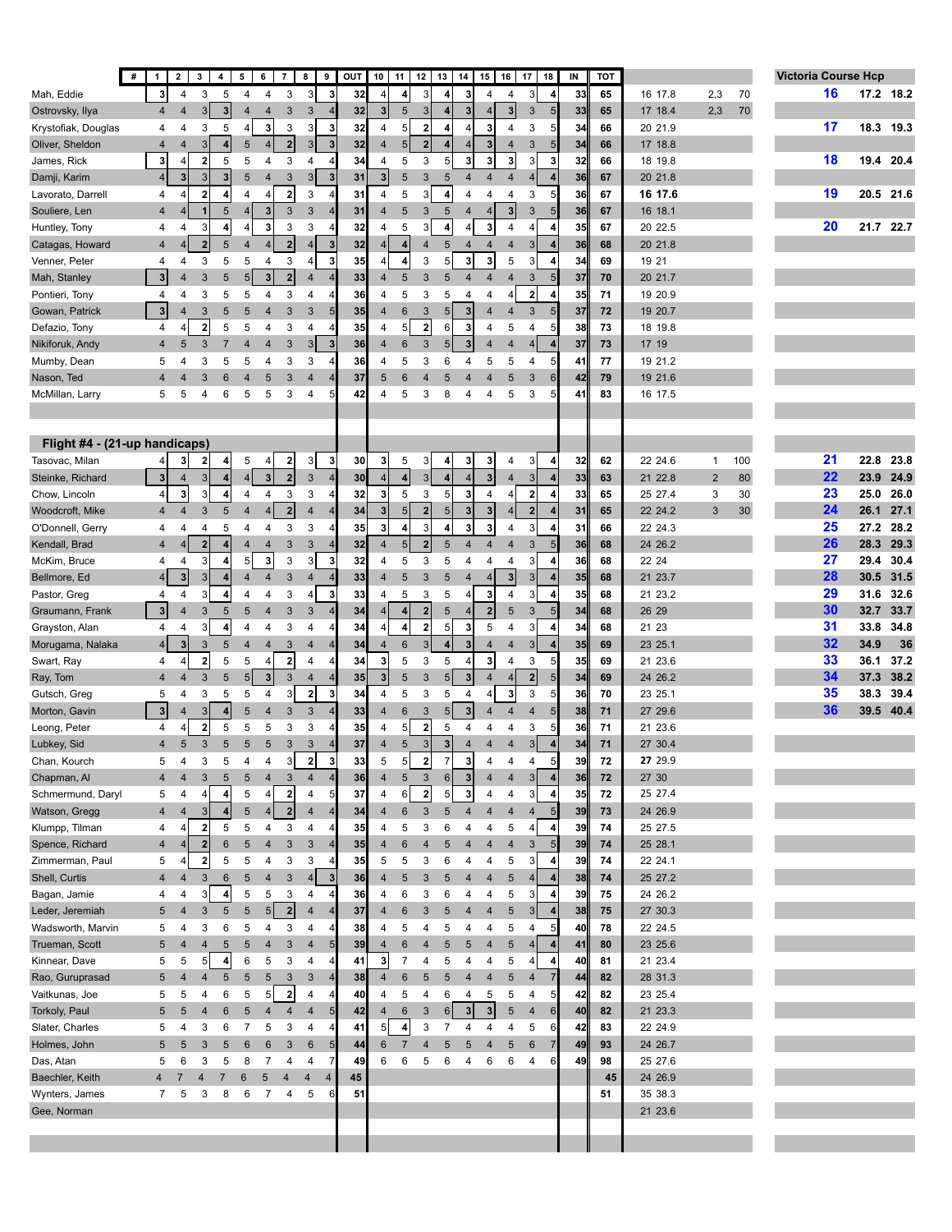|                               | #<br>$\mathbf{2}$<br>$\mathbf{1}$ | $\mathbf{3}$<br>4 <sup>1</sup>                     | 5                | 6<br>$\overline{7}$              | 8<br>9                                     | OUT | 10                      | 11<br>12                                  | 13                      | 14              | 16<br>15                                           | 17<br>18                                  | IN | TOT |         |                |     | <b>Victoria Course Hcp</b> |      |           |
|-------------------------------|-----------------------------------|----------------------------------------------------|------------------|----------------------------------|--------------------------------------------|-----|-------------------------|-------------------------------------------|-------------------------|-----------------|----------------------------------------------------|-------------------------------------------|----|-----|---------|----------------|-----|----------------------------|------|-----------|
| Mah, Eddie                    | $\mathbf{3}$                      | 4<br>3<br>5                                        | 4                | 4<br>3                           | 3<br>3                                     | 32  | $\overline{\mathbf{4}}$ | $\vert$<br>3                              | 4                       | 3 <sup>1</sup>  | 4<br>4                                             | 3<br>4                                    | 33 | 65  | 16 17.8 | 2,3            | 70  | 16                         |      | 17.2 18.2 |
| Ostrovsky, Ilya               | $\overline{\mathbf{4}}$           | 3 <sup>1</sup><br>3<br>$\overline{4}$              | $\overline{4}$   | $\overline{4}$<br>3              | 3                                          | 32  | $\overline{\mathbf{3}}$ | 5<br>$\mathbf{3}$                         | 4                       | 3 <sup>1</sup>  | $\overline{3}$<br>$\overline{4}$                   | 3<br>5                                    | 33 | 65  | 17 18.4 | 2,3            | 70  |                            |      |           |
| Krystofiak, Douglas           | 4                                 | 3<br>5<br>4                                        | $\overline{4}$   | 3<br>3                           | 3<br>3                                     | 32  | 4                       | 5 <sup>1</sup><br>$\overline{\mathbf{2}}$ | 4                       | 4               | 3<br>4                                             | 3<br>5                                    | 34 | 66  | 20 21.9 |                |     | 17                         |      | 18.3 19.3 |
| Oliver, Sheldon               | 4                                 | 3<br>$\overline{4}$<br>4                           | 5                | 2<br>$\overline{4}$              | 3 <sup>1</sup><br>3                        | 32  | $\overline{4}$          | 5 <sub>5</sub><br>$\mathbf{2}$            | 4                       | $\vert$         | $\mathbf{3}$<br>$\overline{4}$                     | 3<br>5                                    | 34 | 66  | 17 18.8 |                |     |                            |      |           |
| James, Rick                   | 3                                 | $\overline{\mathbf{2}}$<br>5<br>4                  | 5                | 3<br>4                           | 4                                          | 34  | 4                       | 3<br>5                                    | 5                       | 3 <sup>1</sup>  | 3<br>3                                             | 3<br>3                                    | 32 | 66  | 18 19.8 |                |     | 18                         |      | 19.4 20.4 |
| Damji, Karim                  | $\overline{4}$                    | 3<br>3<br>3                                        | 5                | 3<br>$\overline{4}$              | 3 <sup>1</sup><br>$\mathbf{3}$             | 31  | $\overline{\mathbf{3}}$ | $\overline{5}$<br>$\mathbf{3}$            | $\sqrt{5}$              | $\overline{4}$  | $\overline{4}$<br>$\overline{4}$                   | 4                                         | 36 | 67  | 20 21.8 |                |     |                            |      |           |
| Lavorato, Darrell             | 4                                 | $\overline{\mathbf{2}}$<br>4<br>4                  | $\overline{4}$   | 2<br>4                           | 3<br>4                                     | 31  | 4                       | 5<br>3                                    | 4                       | 4               | 4<br>4                                             | 3<br>5                                    | 36 | 67  | 16 17.6 |                |     | 19                         |      | 20.5 21.6 |
| Souliere, Len                 | $\overline{4}$                    | $\overline{1}$<br>$\sqrt{5}$<br>4                  | $\overline{4}$   | $\mathbf 3$<br>3                 | 3                                          | 31  | $\overline{4}$          | 5<br>$\mathbf{3}$                         | $\sqrt{5}$              | 4               | $\overline{\mathbf{3}}$<br>$\overline{4}$          | 3<br>5                                    | 36 | 67  | 16 18.1 |                |     |                            |      |           |
| Huntley, Tony                 | 4                                 | 3<br>$\overline{4}$<br>4                           | $\overline{4}$   | 3<br>3                           | 3<br>4                                     | 32  | 4                       | 5<br>3                                    | 4                       | $\vert$         | 3<br>4                                             | 4<br>4                                    | 35 | 67  | 20 22.5 |                |     | 20                         |      | 21.7 22.7 |
| Catagas, Howard               | 4                                 | $\overline{2}$<br>5                                | $\overline{4}$   | 2<br>4                           | $\overline{\mathbf{4}}$<br>3               | 32  | 4                       | $\vert$<br>4                              | 5                       | 4               | $\overline{4}$<br>4                                | 3                                         | 36 | 68  | 20 21.8 |                |     |                            |      |           |
| Venner, Peter                 | 4                                 | 3<br>5<br>4                                        | 5                | 3<br>4                           | 3<br>4                                     | 35  | $\overline{4}$          | 3<br>4                                    | 5                       | 3               | 3<br>5                                             | 3<br>4                                    | 34 | 69  | 19 21   |                |     |                            |      |           |
| Mah, Stanley                  | $\mathbf{3}$                      | $5\phantom{.0}$<br>3<br>$\overline{4}$             | 5 <sub>l</sub>   | $\mathbf{2}$<br>$\mathbf{3}$     | $\overline{4}$                             | 33  | $\overline{4}$          | 5<br>3                                    | 5                       | $\overline{4}$  | $\overline{4}$<br>$\overline{4}$                   | 3<br>5                                    | 37 | 70  | 20 21.7 |                |     |                            |      |           |
| Pontieri, Tony                | 4                                 | 5<br>3<br>4                                        | 5                | 3<br>4                           | 4                                          | 36  | 4                       | 5<br>3                                    | 5                       | 4               | 4<br>4                                             | $\mathbf 2$<br>4                          | 35 | 71  | 19 20.9 |                |     |                            |      |           |
| Gowan, Patrick                | $\overline{\mathbf{3}}$           | 3<br>$5\phantom{.0}$<br>$\overline{4}$             | 5                | 3<br>$\overline{4}$              | 3<br>5                                     | 35  | $\overline{4}$          | 6<br>$\mathbf{3}$                         | 5 <sub>5</sub>          | 3               | $\overline{4}$<br>$\overline{4}$                   | $\sqrt{3}$<br>5                           | 37 | 72  | 19 20.7 |                |     |                            |      |           |
| Defazio, Tony                 | 4                                 | $\overline{\mathbf{2}}$<br>5<br>4                  | 5                | 3<br>4                           | 4                                          | 35  | 4                       | $\boldsymbol{2}$<br>5 <sup>1</sup>        | 6                       | 3               | 4<br>5                                             | 4<br>5                                    | 38 | 73  | 18 19.8 |                |     |                            |      |           |
| Nikiforuk, Andy               | $\overline{4}$                    | 3<br>$\overline{7}$<br>5                           | $\overline{4}$   | 3<br>$\overline{\mathbf{4}}$     | $\overline{3}$<br>3                        | 36  | $\overline{4}$          | $\mathsf 3$<br>6                          | 5 <sub>5</sub>          | 3 <sup>1</sup>  | $\overline{\mathbf{4}}$<br>$\overline{\mathbf{4}}$ | $\overline{4}$<br>$\overline{\mathbf{4}}$ | 37 | 73  | 17 19   |                |     |                            |      |           |
| Mumby, Dean                   | 5                                 | 3<br>5<br>4                                        | 5                | 3<br>4                           | 3                                          | 36  | 4                       | 5<br>3                                    | 6                       | 4               | 5<br>5                                             | 4<br>5                                    | 41 | 77  | 19 21.2 |                |     |                            |      |           |
| Nason, Ted                    | $\overline{4}$                    | 3<br>$6\phantom{1}6$<br>4                          | $\overline{4}$   | $\sqrt{3}$<br>5                  | $\overline{4}$                             | 37  | 5                       | 6<br>$\overline{4}$                       | 5                       | $\overline{4}$  | 5<br>4                                             | 3<br>6                                    | 42 | 79  | 19 21.6 |                |     |                            |      |           |
| McMillan, Larry               | 5                                 | 5<br>$\overline{4}$<br>6                           | 5                | 5<br>3                           | 4<br>5                                     | 42  | 4                       | 5<br>3                                    | 8                       | 4               | 4<br>5                                             | 3<br>5                                    | 41 | 83  | 16 17.5 |                |     |                            |      |           |
|                               |                                   |                                                    |                  |                                  |                                            |     |                         |                                           |                         |                 |                                                    |                                           |    |     |         |                |     |                            |      |           |
|                               |                                   |                                                    |                  |                                  |                                            |     |                         |                                           |                         |                 |                                                    |                                           |    |     |         |                |     |                            |      |           |
| Flight #4 - (21-up handicaps) |                                   |                                                    |                  |                                  |                                            |     |                         |                                           |                         |                 |                                                    |                                           |    |     |         |                |     |                            |      |           |
| Tasovac, Milan                | 4                                 | $\mathbf 2$<br>3<br>$\frac{4}{ }$                  | 5                | $\overline{\mathbf{2}}$<br>4     | 3<br>3                                     | 30  | 3                       | 5<br>3                                    | 4                       | $\mathbf{3}$    | 3<br>4                                             | 3<br>4                                    | 32 | 62  | 22 24.6 | $\mathbf{1}$   | 100 | 21                         | 22.8 | 23.8      |
| Steinke, Richard              | $\mathbf{3}$                      | 3<br>4<br>4                                        | $\overline{4}$   | $\mathbf{3}$<br>2                | 3                                          | 30  | $\overline{4}$          | $\overline{\mathbf{r}}$<br>$\mathbf{3}$   | 4                       | $\vert$         | $\overline{\mathbf{3}}$<br>$\overline{4}$          | 3<br>4                                    | 33 | 63  | 21 22.8 | $\overline{2}$ | 80  | 22                         | 23.9 | 24.9      |
| Chow, Lincoln                 | 4                                 | 3<br>3<br>4                                        | 4                | 3<br>4                           | 3                                          | 32  | 3                       | 3<br>5                                    | 5                       | 3 <sup>1</sup>  | 4<br>4                                             | $\overline{2}$<br>4                       | 33 | 65  | 25 27.4 | 3              | 30  | 23                         | 25.0 | 26.0      |
| Woodcroft, Mike               | 4                                 | 5<br>$\overline{4}$<br>3                           | $\overline{4}$   | $\overline{2}$<br>$\overline{4}$ | $\overline{4}$                             | 34  | $\mathbf{3}$            | $\boldsymbol{2}$<br>5 <sub>5</sub>        | $5\overline{)}$         | 3               | $\overline{\mathbf{3}}$<br>4                       | $\overline{2}$<br>4                       | 31 | 65  | 22 24.2 | 3              | 30  | 24                         | 26.1 | 27.1      |
| O'Donnell, Gerry              | 4                                 | 5<br>4<br>4                                        | 4                | 3<br>4                           | 3                                          | 35  | 3                       | 3<br>$\boldsymbol{4}$                     | 4                       | 3               | 3<br>4                                             | 3                                         | 31 | 66  | 22 24.3 |                |     | 25                         | 27.2 | 28.2      |
| Kendall, Brad                 | $\overline{4}$                    | $\mathbf 2$<br>$\vert$<br>4                        | $\overline{4}$   | 3<br>$\overline{4}$              | 3                                          | 32  | $\overline{4}$          | 5 <sup>1</sup><br>$\boldsymbol{2}$        | 5                       | $\overline{4}$  | $\overline{4}$<br>$\overline{\mathbf{4}}$          | 5<br>3                                    | 36 | 68  | 24 26.2 |                |     | 26                         | 28.3 | 29.3      |
| McKim, Bruce                  | 4                                 | 3<br>4<br>$\overline{4}$                           | 5                | 3<br>3                           | 3<br>3                                     | 32  | 4                       | 5<br>3                                    | 5                       | 4               | 4<br>4                                             | 3<br>4                                    | 36 | 68  | 22 24   |                |     | 27                         | 29.4 | 30.4      |
| Bellmore, Ed                  | 4 <sup>1</sup>                    | 3<br>3<br>4                                        | $\overline{4}$   | 3<br>$\overline{4}$              | 4<br>Δ                                     | 33  | $\overline{4}$          | 5<br>3                                    | 5                       | $\overline{4}$  | $\overline{\mathbf{3}}$<br>$\overline{4}$          | 3<br>$\overline{4}$                       | 35 | 68  | 21 23.7 |                |     | 28                         | 30.5 | 31.5      |
| Pastor, Greg                  | 4                                 | 3<br>4<br>$\vert$                                  | $\overline{4}$   | 3<br>4                           | 4<br>3                                     | 33  | 4                       | 5<br>3                                    | 5                       | $\vert 4 \vert$ | 3<br>4                                             | 3<br>4                                    | 35 | 68  | 21 23.2 |                |     | 29                         | 31.6 | 32.6      |
| Graumann, Frank               | $\overline{\mathbf{3}}$           | $\sqrt{3}$<br>$\sqrt{5}$<br>4                      | 5                | $\sqrt{3}$<br>4                  | 3                                          | 34  | $\overline{4}$          | $\mathbf 2$<br>$\vert$                    | 5                       | 4               | $\overline{\mathbf{2}}$<br>5                       | 3<br>5                                    | 34 | 68  | 26 29   |                |     | 30                         | 32.7 | 33.7      |
| Grayston, Alan                | 4                                 | 3<br>4<br>$\overline{4}$                           | 4                | 3<br>4                           | 4                                          | 34  | 4                       | $\mathbf 2$<br>$\vert$                    | 5                       | 3               | 5<br>4                                             | 3<br>4                                    | 34 | 68  | 21 23   |                |     | 31                         | 33.8 | 34.8      |
| Morugama, Nalaka              | $\overline{4}$                    | $\overline{\mathbf{3}}$<br>3<br>5                  | $\overline{4}$   | 3<br>$\overline{4}$              | $\overline{4}$                             | 34  | 4                       | $\mathbf{3}$<br>6                         | $\overline{\mathbf{4}}$ | 3 <sup>1</sup>  | $\overline{4}$<br>$\overline{4}$                   | 3                                         | 35 | 69  | 23 25.1 |                |     | 32                         | 34.9 | 36        |
| Swart, Ray                    | 4                                 | $\overline{\mathbf{2}}$<br>5<br>4                  | 5                | 2<br>$\overline{4}$              | 4                                          | 34  | 3                       | 5<br>3                                    | 5                       | $\vert$         | 3<br>4                                             | 3<br>5                                    | 35 | 69  | 21 23.6 |                |     | 33                         | 36.1 | 37.2      |
| Ray, Tom                      | $\overline{\mathbf{4}}$           | 3<br>$\sqrt{5}$<br>4                               | $\overline{5}$   | $\overline{\mathbf{3}}$<br>3     | $\overline{4}$                             | 35  | $\overline{\mathbf{3}}$ | $\sqrt{5}$<br>$\mathbf{3}$                | 5 <sup>1</sup>          | 3 <sup>1</sup>  | $\overline{4}$<br>$\overline{4}$                   | $\mathbf 2$                               | 34 | 69  | 24 26.2 |                |     | 34                         | 37.3 | 38.2      |
| Gutsch, Greg                  | 5                                 | 3<br>5<br>4                                        | 5                | 4<br>3                           | $\mathbf 2$<br>3                           | 34  | 4                       | 5<br>3                                    | 5                       | 4               | 3<br>4                                             | 3<br>5                                    | 36 | 70  | 23 25.1 |                |     | 35                         | 38.3 | 39.4      |
| Morton, Gavin                 | $\overline{\mathbf{3}}$           | 3<br>$\overline{4}$<br>4                           | 5                | 3<br>4                           | 3                                          | 33  | 4                       | 6<br>$\mathbf{3}$                         | 5 <sup>5</sup>          | 3               | 4<br>4                                             | 4<br>5                                    | 38 | 71  | 27 29.6 |                |     | 36                         | 39.5 | 40.4      |
| Leong, Peter                  | 4                                 | $\overline{\mathbf{2}}$<br>5<br>4                  | 5                | 3<br>5                           | 3                                          | 35  | 4                       | $\overline{\mathbf{2}}$<br>5 <sup>1</sup> | 5                       | 4               | 4<br>4                                             | 3<br>5                                    | 36 | 71  | 21 23.6 |                |     |                            |      |           |
| Lubkey, Sid                   | 4                                 | $\sqrt{3}$<br>$5\phantom{.0}$<br>5                 | $5\phantom{1}$   | 5<br>3                           | $\mathfrak{Z}$                             | 37  | $\overline{4}$          | 5<br>3                                    | $\overline{\mathbf{3}}$ | $\overline{4}$  | $\overline{4}$<br>$\overline{4}$                   | $\mathsf 3$<br>4                          | 34 | 71  | 27 30.4 |                |     |                            |      |           |
| Chan, Kourch                  | 5                                 | 3<br>5<br>4                                        | $\Delta$         | 3I<br>4                          | $\overline{2}$<br>$\overline{3}$           | 33  | 5                       | $\mathbf 2$<br>5 <sup>1</sup>             | $\overline{7}$          | $\overline{3}$  | 4                                                  | E<br>4                                    | 39 | 72  | 27 29.9 |                |     |                            |      |           |
| Chapman, Al                   | 4                                 | 5<br>$\overline{4}$<br>3                           | 5                | $\overline{4}$<br>3              | $\overline{4}$                             | 36  | 4                       | $\mathsf 3$<br>$\sqrt{5}$                 | $6 \mid$                | 3               | 4<br>$\overline{4}$                                | 3<br>4                                    | 36 | 72  | 27 30   |                |     |                            |      |           |
| Schmermund, Daryl             | 5                                 | $\overline{4}$<br>$\vert$<br>4                     | 5                | $\overline{2}$<br>4              | 4                                          | 37  | 4                       | $\overline{\mathbf{2}}$<br>$6 \mid$       | 5                       | 3               | 4<br>4                                             | 3                                         | 35 | 72  | 25 27.4 |                |     |                            |      |           |
| Watson, Gregg                 | $\overline{4}$                    | 3<br>$\overline{4}$<br>$\vert$                     | $\overline{5}$   | 2<br>4                           | $\overline{\mathbf{4}}$                    | 34  | $\overline{4}$          | $\,6\,$<br>$\sqrt{3}$                     | $\sqrt{5}$              | $\overline{4}$  | $\overline{\mathbf{4}}$<br>$\overline{\mathbf{4}}$ | $\overline{4}$<br>5                       | 39 | 73  | 24 26.9 |                |     |                            |      |           |
| Klumpp, Tilman                | 4                                 | $\overline{\mathbf{2}}$<br>5<br>4                  | 5                | 3<br>4                           | 4                                          | 35  | 4                       | 5<br>3                                    | 6                       | 4               | 4<br>5                                             | $\overline{4}$<br>4                       | 39 | 74  | 25 27.5 |                |     |                            |      |           |
| Spence, Richard               | $\overline{\mathbf{4}}$           | $\overline{2}$<br>$6\phantom{1}$<br>4 <sup>1</sup> | $\overline{5}$   | $\sqrt{3}$<br>$\overline{4}$     | 3                                          | 35  | 4                       | 6<br>$\overline{4}$                       | 5                       | $\overline{4}$  | $\overline{4}$<br>$\overline{\mathbf{4}}$          | 3                                         | 39 | 74  | 25 28.1 |                |     |                            |      |           |
| Zimmerman, Paul               | 5                                 | 2<br>5<br>4                                        | 5                | 3<br>4                           | 3                                          | 35  | 5                       | 5<br>3                                    | 6                       | 4               | 5<br>4                                             | 3<br>4                                    | 39 | 74  | 22 24.1 |                |     |                            |      |           |
| Shell, Curtis                 | $\overline{4}$                    | 3<br>$6\phantom{1}$<br>4                           | $\overline{5}$   | 3<br>$\overline{4}$              | $\overline{4}$<br>$\overline{\mathbf{3}}$  | 36  | $\overline{4}$          | 5<br>$\mathbf{3}$                         | 5                       | 4               | 5<br>$\overline{\mathbf{4}}$                       | $\overline{4}$                            | 38 | 74  | 25 27.2 |                |     |                            |      |           |
| Bagan, Jamie                  | 4                                 | 3<br>$\vert$<br>4                                  | 5                | 5<br>3                           | 4                                          | 36  | 4                       | 6<br>3                                    | 6                       | 4               | 4<br>5                                             | 3<br>4                                    | 39 | 75  | 24 26.2 |                |     |                            |      |           |
| Leder, Jeremiah               | 5                                 | $\sqrt{5}$<br>3<br>$\overline{4}$                  | $\overline{5}$   | $\overline{2}$<br>5              | $\overline{4}$                             | 37  | 4                       | 6<br>$\mathbf{3}$                         | 5                       | 4               | 5<br>$\overline{4}$                                | 3                                         | 38 | 75  | 27 30.3 |                |     |                            |      |           |
| Wadsworth, Marvin             | 5                                 | 3<br>6<br>4                                        | 5                | 3<br>4                           | 4                                          | 38  | 4                       | 5<br>4                                    | 5                       | 4               | 5<br>4                                             | 5<br>4                                    | 40 | 78  | 22 24.5 |                |     |                            |      |           |
| Trueman, Scott                | 5                                 | $\sqrt{5}$<br>$\overline{4}$<br>4                  | 5                | 3<br>4                           | 4                                          | 39  | 4                       | 6<br>$\overline{4}$                       | 5                       | 5               | $\overline{\mathbf{4}}$<br>$\sqrt{5}$              | 4<br>4                                    | 41 | 80  | 23 25.6 |                |     |                            |      |           |
| Kinnear, Dave                 | 5                                 | 5<br>$\boldsymbol{4}$<br>5                         | 6                | 5<br>3                           | 4                                          | 41  | $\mathbf{3}$            | $\overline{7}$<br>4                       | 5                       | 4               | 5<br>4                                             | 4<br>4                                    | 40 | 81  | 21 23.4 |                |     |                            |      |           |
| Rao, Guruprasad               | 5                                 | $\sqrt{5}$<br>$\overline{4}$<br>4                  | $\overline{5}$   | $\sqrt{5}$<br>$\mathbf{3}$       | $\mathfrak{3}$                             | 38  | $\overline{4}$          | 6<br>$\sqrt{5}$                           | 5                       | 4               | 5<br>$\overline{4}$                                | 4                                         | 44 | 82  | 28 31.3 |                |     |                            |      |           |
| Vaitkunas, Joe                | 5                                 | 5<br>4<br>6                                        | 5                | $\overline{2}$<br>5 <sub>5</sub> | 4                                          | 40  | 4                       | 5<br>4                                    | 6                       | 4               | 5<br>5                                             | 4<br>5                                    | 42 | 82  | 23 25.4 |                |     |                            |      |           |
| Torkoly, Paul                 | 5                                 | 5<br>$6\phantom{1}$<br>$\overline{4}$              | $\overline{5}$   | $\overline{4}$<br>$\overline{4}$ | $\overline{\mathbf{4}}$<br>$5\overline{)}$ | 42  | $\overline{4}$          | 6<br>$\mathsf 3$                          | 6                       | 3 <sup>1</sup>  | 3 <sup>1</sup><br>$5\phantom{.0}$                  | $\overline{\mathbf{4}}$<br>6              | 40 | 82  | 21 23.3 |                |     |                            |      |           |
| Slater, Charles               | 5                                 | 3<br>6<br>4                                        | 7                | 3<br>5                           | 4                                          | 41  | 5                       | $\boldsymbol{4}$<br>3                     | 7                       | 4               | 4<br>4                                             | 5<br>6                                    | 42 | 83  | 22 24.9 |                |     |                            |      |           |
| Holmes, John                  | 5                                 | 3<br>$\sqrt{5}$<br>5                               | $\boldsymbol{6}$ | $\,6$<br>$\sqrt{3}$              | $\,6$<br>5                                 | 44  | 6                       | $\overline{7}$<br>$\overline{4}$          | 5                       | 5               | $\overline{4}$<br>5                                | $6\phantom{1}6$<br>7                      | 49 | 93  | 24 26.7 |                |     |                            |      |           |
| Das, Atan                     | 5                                 | 3<br>5<br>6                                        | 8                | $\overline{7}$<br>4              | $\overline{4}$                             | 49  | 6                       | 6<br>5                                    | 6                       | 4               | 6<br>6                                             | 4<br>6                                    | 49 | 98  | 25 27.6 |                |     |                            |      |           |
| Baechler, Keith               | $\overline{4}$<br>$\overline{7}$  | $\overline{4}$<br>$\overline{7}$                   | $\,6$            | $\sqrt{5}$<br>$\overline{4}$     | 4<br>4                                     | 45  |                         |                                           |                         |                 |                                                    |                                           |    | 45  | 24 26.9 |                |     |                            |      |           |
| Wynters, James                | $\overline{7}$                    | 5<br>3<br>8                                        | 6                | $\overline{7}$<br>4              | 5                                          | 51  |                         |                                           |                         |                 |                                                    |                                           |    | 51  | 35 38.3 |                |     |                            |      |           |
| Gee, Norman                   |                                   |                                                    |                  |                                  |                                            |     |                         |                                           |                         |                 |                                                    |                                           |    |     | 21 23.6 |                |     |                            |      |           |
|                               |                                   |                                                    |                  |                                  |                                            |     |                         |                                           |                         |                 |                                                    |                                           |    |     |         |                |     |                            |      |           |
|                               |                                   |                                                    |                  |                                  |                                            |     |                         |                                           |                         |                 |                                                    |                                           |    |     |         |                |     |                            |      |           |